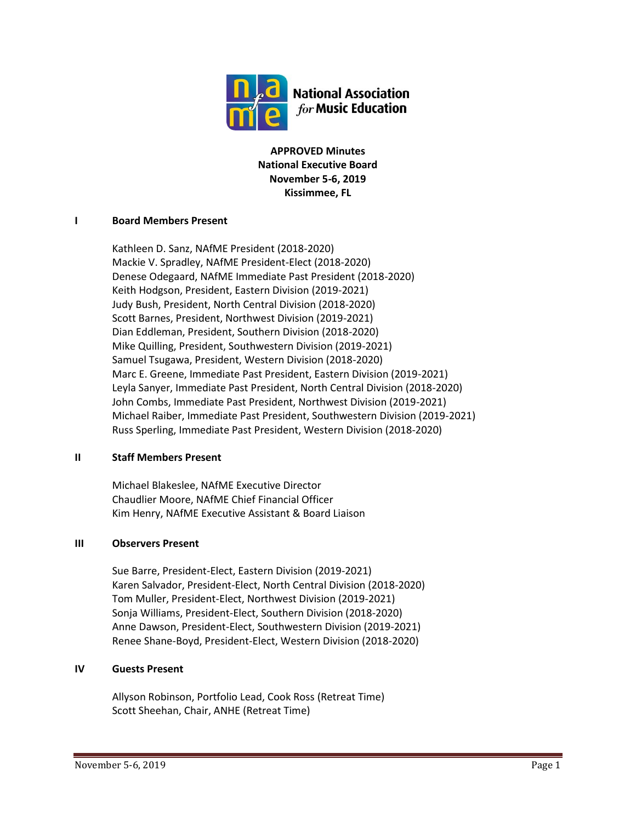

**APPROVED Minutes National Executive Board November 5-6, 2019 Kissimmee, FL**

### **I Board Members Present**

Kathleen D. Sanz, NAfME President (2018-2020) Mackie V. Spradley, NAfME President-Elect (2018-2020) Denese Odegaard, NAfME Immediate Past President (2018-2020) Keith Hodgson, President, Eastern Division (2019-2021) Judy Bush, President, North Central Division (2018-2020) Scott Barnes, President, Northwest Division (2019-2021) Dian Eddleman, President, Southern Division (2018-2020) Mike Quilling, President, Southwestern Division (2019-2021) Samuel Tsugawa, President, Western Division (2018-2020) Marc E. Greene, Immediate Past President, Eastern Division (2019-2021) Leyla Sanyer, Immediate Past President, North Central Division (2018-2020) John Combs, Immediate Past President, Northwest Division (2019-2021) Michael Raiber, Immediate Past President, Southwestern Division (2019-2021) Russ Sperling, Immediate Past President, Western Division (2018-2020)

### **II Staff Members Present**

Michael Blakeslee, NAfME Executive Director Chaudlier Moore, NAfME Chief Financial Officer Kim Henry, NAfME Executive Assistant & Board Liaison

### **III Observers Present**

Sue Barre, President-Elect, Eastern Division (2019-2021) Karen Salvador, President-Elect, North Central Division (2018-2020) Tom Muller, President-Elect, Northwest Division (2019-2021) Sonja Williams, President-Elect, Southern Division (2018-2020) Anne Dawson, President-Elect, Southwestern Division (2019-2021) Renee Shane-Boyd, President-Elect, Western Division (2018-2020)

## **IV Guests Present**

Allyson Robinson, Portfolio Lead, Cook Ross (Retreat Time) Scott Sheehan, Chair, ANHE (Retreat Time)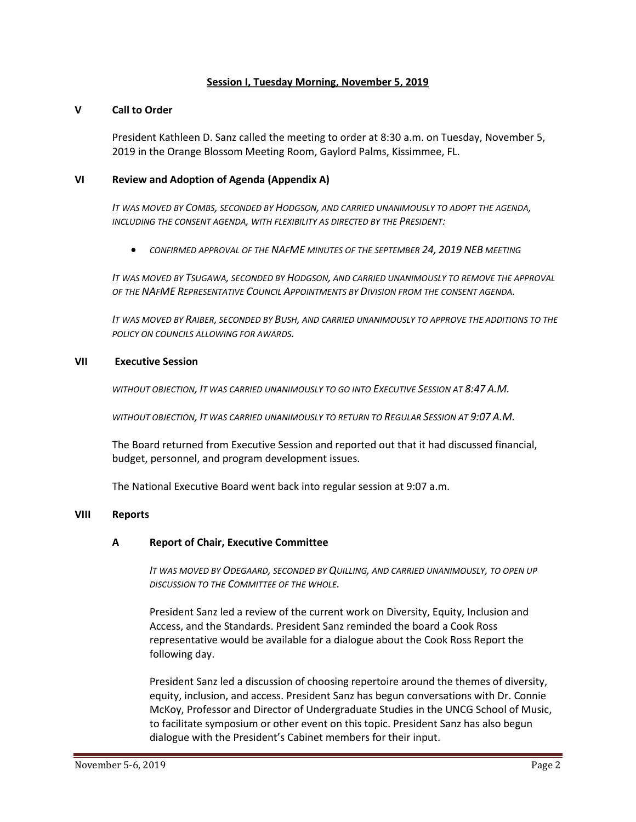#### **Session I, Tuesday Morning, November 5, 2019**

#### **V Call to Order**

President Kathleen D. Sanz called the meeting to order at 8:30 a.m. on Tuesday, November 5, 2019 in the Orange Blossom Meeting Room, Gaylord Palms, Kissimmee, FL.

#### **VI Review and Adoption of Agenda (Appendix A)**

*IT WAS MOVED BY COMBS, SECONDED BY HODGSON, AND CARRIED UNANIMOUSLY TO ADOPT THE AGENDA, INCLUDING THE CONSENT AGENDA, WITH FLEXIBILITY AS DIRECTED BY THE PRESIDENT:*

• *CONFIRMED APPROVAL OF THE NAFME MINUTES OF THE SEPTEMBER 24, 2019 NEB MEETING*

*IT WAS MOVED BY TSUGAWA, SECONDED BY HODGSON, AND CARRIED UNANIMOUSLY TO REMOVE THE APPROVAL OF THE NAFME REPRESENTATIVE COUNCIL APPOINTMENTS BY DIVISION FROM THE CONSENT AGENDA.*

*IT WAS MOVED BY RAIBER, SECONDED BY BUSH, AND CARRIED UNANIMOUSLY TO APPROVE THE ADDITIONS TO THE POLICY ON COUNCILS ALLOWING FOR AWARDS.*

#### **VII Executive Session**

*WITHOUT OBJECTION, IT WAS CARRIED UNANIMOUSLY TO GO INTO EXECUTIVE SESSION AT 8:47 A.M.*

*WITHOUT OBJECTION, IT WAS CARRIED UNANIMOUSLY TO RETURN TO REGULAR SESSION AT 9:07 A.M.*

The Board returned from Executive Session and reported out that it had discussed financial, budget, personnel, and program development issues.

The National Executive Board went back into regular session at 9:07 a.m.

#### **VIII Reports**

### **A Report of Chair, Executive Committee**

*IT WAS MOVED BY ODEGAARD, SECONDED BY QUILLING, AND CARRIED UNANIMOUSLY, TO OPEN UP DISCUSSION TO THE COMMITTEE OF THE WHOLE.*

President Sanz led a review of the current work on Diversity, Equity, Inclusion and Access, and the Standards. President Sanz reminded the board a Cook Ross representative would be available for a dialogue about the Cook Ross Report the following day.

President Sanz led a discussion of choosing repertoire around the themes of diversity, equity, inclusion, and access. President Sanz has begun conversations with Dr. Connie McKoy, Professor and Director of Undergraduate Studies in the UNCG School of Music, to facilitate symposium or other event on this topic. President Sanz has also begun dialogue with the President's Cabinet members for their input.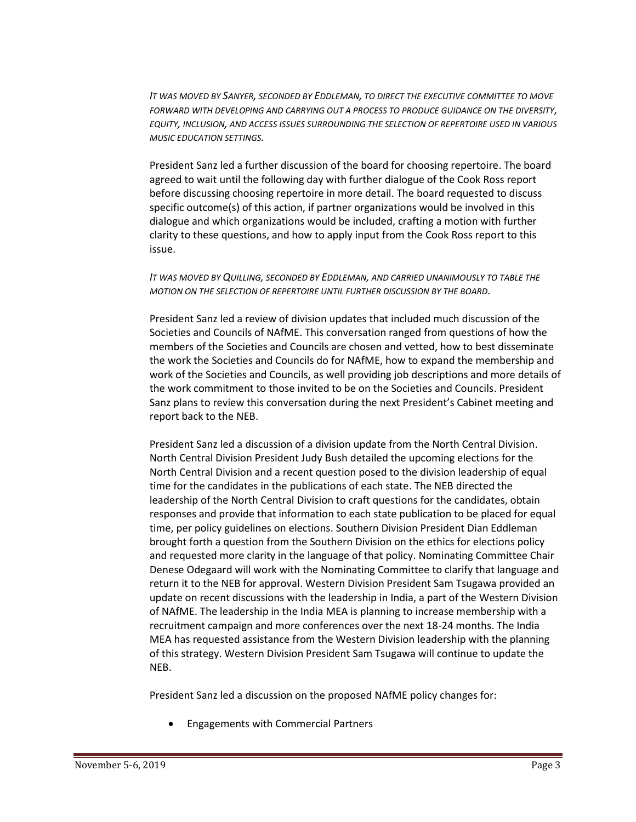*IT WAS MOVED BY SANYER, SECONDED BY EDDLEMAN, TO DIRECT THE EXECUTIVE COMMITTEE TO MOVE FORWARD WITH DEVELOPING AND CARRYING OUT A PROCESS TO PRODUCE GUIDANCE ON THE DIVERSITY, EQUITY, INCLUSION, AND ACCESS ISSUES SURROUNDING THE SELECTION OF REPERTOIRE USED IN VARIOUS MUSIC EDUCATION SETTINGS.*

President Sanz led a further discussion of the board for choosing repertoire. The board agreed to wait until the following day with further dialogue of the Cook Ross report before discussing choosing repertoire in more detail. The board requested to discuss specific outcome(s) of this action, if partner organizations would be involved in this dialogue and which organizations would be included, crafting a motion with further clarity to these questions, and how to apply input from the Cook Ross report to this issue.

### *IT WAS MOVED BY QUILLING, SECONDED BY EDDLEMAN, AND CARRIED UNANIMOUSLY TO TABLE THE MOTION ON THE SELECTION OF REPERTOIRE UNTIL FURTHER DISCUSSION BY THE BOARD.*

President Sanz led a review of division updates that included much discussion of the Societies and Councils of NAfME. This conversation ranged from questions of how the members of the Societies and Councils are chosen and vetted, how to best disseminate the work the Societies and Councils do for NAfME, how to expand the membership and work of the Societies and Councils, as well providing job descriptions and more details of the work commitment to those invited to be on the Societies and Councils. President Sanz plans to review this conversation during the next President's Cabinet meeting and report back to the NEB.

President Sanz led a discussion of a division update from the North Central Division. North Central Division President Judy Bush detailed the upcoming elections for the North Central Division and a recent question posed to the division leadership of equal time for the candidates in the publications of each state. The NEB directed the leadership of the North Central Division to craft questions for the candidates, obtain responses and provide that information to each state publication to be placed for equal time, per policy guidelines on elections. Southern Division President Dian Eddleman brought forth a question from the Southern Division on the ethics for elections policy and requested more clarity in the language of that policy. Nominating Committee Chair Denese Odegaard will work with the Nominating Committee to clarify that language and return it to the NEB for approval. Western Division President Sam Tsugawa provided an update on recent discussions with the leadership in India, a part of the Western Division of NAfME. The leadership in the India MEA is planning to increase membership with a recruitment campaign and more conferences over the next 18-24 months. The India MEA has requested assistance from the Western Division leadership with the planning of this strategy. Western Division President Sam Tsugawa will continue to update the NEB.

President Sanz led a discussion on the proposed NAfME policy changes for:

• Engagements with Commercial Partners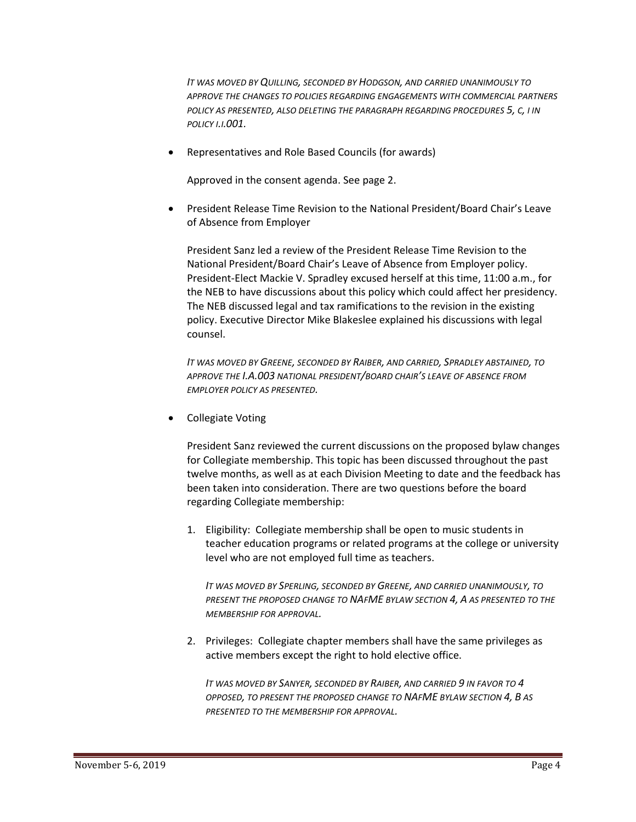*IT WAS MOVED BY QUILLING, SECONDED BY HODGSON, AND CARRIED UNANIMOUSLY TO APPROVE THE CHANGES TO POLICIES REGARDING ENGAGEMENTS WITH COMMERCIAL PARTNERS POLICY AS PRESENTED, ALSO DELETING THE PARAGRAPH REGARDING PROCEDURES 5, C, I IN POLICY I.I.001.*

• Representatives and Role Based Councils (for awards)

Approved in the consent agenda. See page 2.

• President Release Time Revision to the National President/Board Chair's Leave of Absence from Employer

President Sanz led a review of the President Release Time Revision to the National President/Board Chair's Leave of Absence from Employer policy. President-Elect Mackie V. Spradley excused herself at this time, 11:00 a.m., for the NEB to have discussions about this policy which could affect her presidency. The NEB discussed legal and tax ramifications to the revision in the existing policy. Executive Director Mike Blakeslee explained his discussions with legal counsel.

*IT WAS MOVED BY GREENE, SECONDED BY RAIBER, AND CARRIED, SPRADLEY ABSTAINED, TO APPROVE THE I.A.003 NATIONAL PRESIDENT/BOARD CHAIR'S LEAVE OF ABSENCE FROM EMPLOYER POLICY AS PRESENTED.*

• Collegiate Voting

President Sanz reviewed the current discussions on the proposed bylaw changes for Collegiate membership. This topic has been discussed throughout the past twelve months, as well as at each Division Meeting to date and the feedback has been taken into consideration. There are two questions before the board regarding Collegiate membership:

1. Eligibility: Collegiate membership shall be open to music students in teacher education programs or related programs at the college or university level who are not employed full time as teachers.

*IT WAS MOVED BY SPERLING, SECONDED BY GREENE, AND CARRIED UNANIMOUSLY, TO PRESENT THE PROPOSED CHANGE TO NAFME BYLAW SECTION 4, A AS PRESENTED TO THE MEMBERSHIP FOR APPROVAL.*

2. Privileges: Collegiate chapter members shall have the same privileges as active members except the right to hold elective office.

*IT WAS MOVED BY SANYER, SECONDED BY RAIBER, AND CARRIED 9 IN FAVOR TO 4 OPPOSED, TO PRESENT THE PROPOSED CHANGE TO NAFME BYLAW SECTION 4, B AS PRESENTED TO THE MEMBERSHIP FOR APPROVAL.*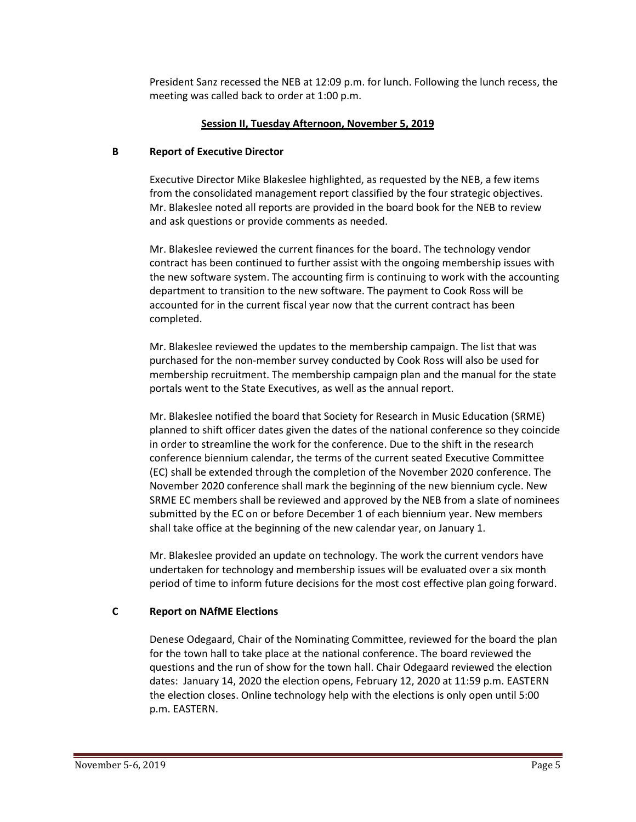President Sanz recessed the NEB at 12:09 p.m. for lunch. Following the lunch recess, the meeting was called back to order at 1:00 p.m.

## **Session II, Tuesday Afternoon, November 5, 2019**

## **B Report of Executive Director**

Executive Director Mike Blakeslee highlighted, as requested by the NEB, a few items from the consolidated management report classified by the four strategic objectives. Mr. Blakeslee noted all reports are provided in the board book for the NEB to review and ask questions or provide comments as needed.

Mr. Blakeslee reviewed the current finances for the board. The technology vendor contract has been continued to further assist with the ongoing membership issues with the new software system. The accounting firm is continuing to work with the accounting department to transition to the new software. The payment to Cook Ross will be accounted for in the current fiscal year now that the current contract has been completed.

Mr. Blakeslee reviewed the updates to the membership campaign. The list that was purchased for the non-member survey conducted by Cook Ross will also be used for membership recruitment. The membership campaign plan and the manual for the state portals went to the State Executives, as well as the annual report.

Mr. Blakeslee notified the board that Society for Research in Music Education (SRME) planned to shift officer dates given the dates of the national conference so they coincide in order to streamline the work for the conference. Due to the shift in the research conference biennium calendar, the terms of the current seated Executive Committee (EC) shall be extended through the completion of the November 2020 conference. The November 2020 conference shall mark the beginning of the new biennium cycle. New SRME EC members shall be reviewed and approved by the NEB from a slate of nominees submitted by the EC on or before December 1 of each biennium year. New members shall take office at the beginning of the new calendar year, on January 1.

Mr. Blakeslee provided an update on technology. The work the current vendors have undertaken for technology and membership issues will be evaluated over a six month period of time to inform future decisions for the most cost effective plan going forward.

## **C Report on NAfME Elections**

Denese Odegaard, Chair of the Nominating Committee, reviewed for the board the plan for the town hall to take place at the national conference. The board reviewed the questions and the run of show for the town hall. Chair Odegaard reviewed the election dates: January 14, 2020 the election opens, February 12, 2020 at 11:59 p.m. EASTERN the election closes. Online technology help with the elections is only open until 5:00 p.m. EASTERN.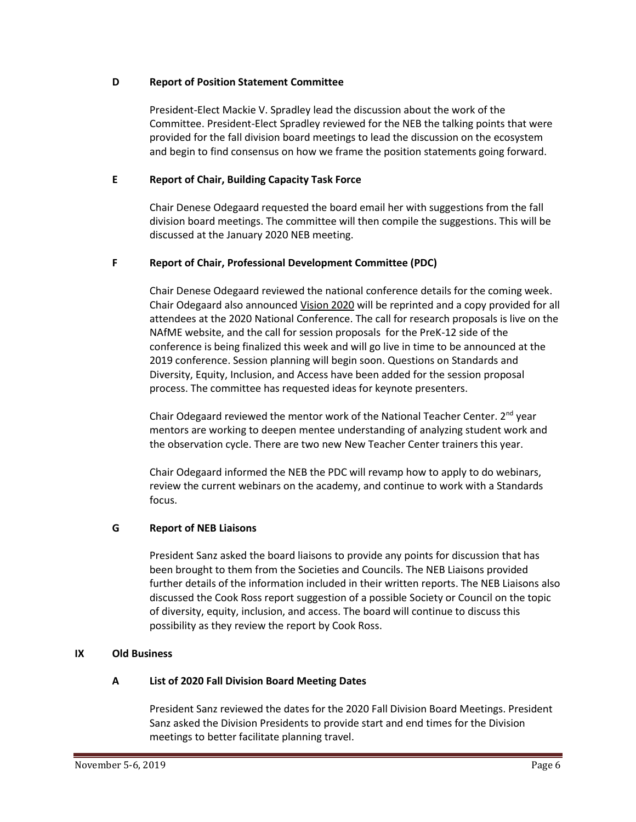## **D Report of Position Statement Committee**

President-Elect Mackie V. Spradley lead the discussion about the work of the Committee. President-Elect Spradley reviewed for the NEB the talking points that were provided for the fall division board meetings to lead the discussion on the ecosystem and begin to find consensus on how we frame the position statements going forward.

## **E Report of Chair, Building Capacity Task Force**

Chair Denese Odegaard requested the board email her with suggestions from the fall division board meetings. The committee will then compile the suggestions. This will be discussed at the January 2020 NEB meeting.

## **F Report of Chair, Professional Development Committee (PDC)**

Chair Denese Odegaard reviewed the national conference details for the coming week. Chair Odegaard also announced Vision 2020 will be reprinted and a copy provided for all attendees at the 2020 National Conference. The call for research proposals is live on the NAfME website, and the call for session proposals for the PreK-12 side of the conference is being finalized this week and will go live in time to be announced at the 2019 conference. Session planning will begin soon. Questions on Standards and Diversity, Equity, Inclusion, and Access have been added for the session proposal process. The committee has requested ideas for keynote presenters.

Chair Odegaard reviewed the mentor work of the National Teacher Center. 2<sup>nd</sup> year mentors are working to deepen mentee understanding of analyzing student work and the observation cycle. There are two new New Teacher Center trainers this year.

Chair Odegaard informed the NEB the PDC will revamp how to apply to do webinars, review the current webinars on the academy, and continue to work with a Standards focus.

## **G Report of NEB Liaisons**

President Sanz asked the board liaisons to provide any points for discussion that has been brought to them from the Societies and Councils. The NEB Liaisons provided further details of the information included in their written reports. The NEB Liaisons also discussed the Cook Ross report suggestion of a possible Society or Council on the topic of diversity, equity, inclusion, and access. The board will continue to discuss this possibility as they review the report by Cook Ross.

### **IX Old Business**

### **A List of 2020 Fall Division Board Meeting Dates**

President Sanz reviewed the dates for the 2020 Fall Division Board Meetings. President Sanz asked the Division Presidents to provide start and end times for the Division meetings to better facilitate planning travel.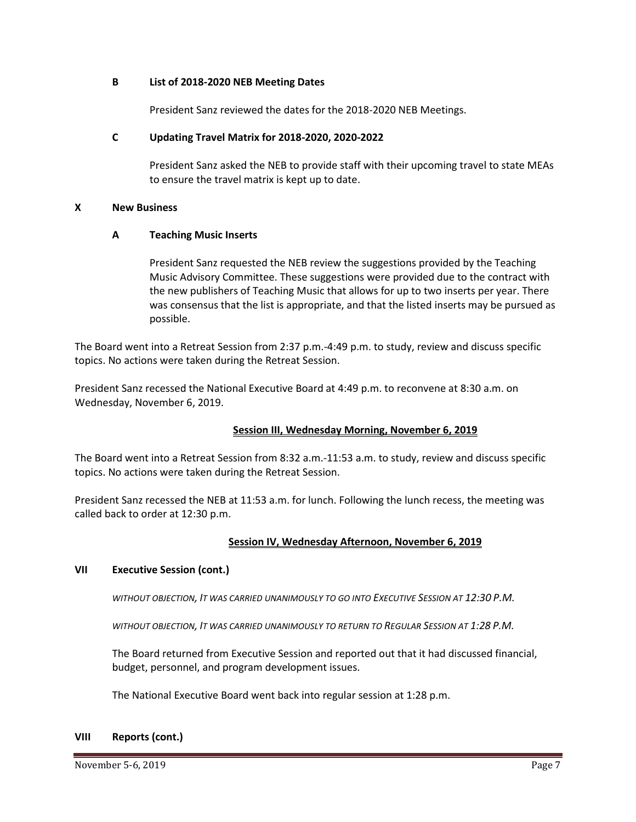#### **B List of 2018-2020 NEB Meeting Dates**

President Sanz reviewed the dates for the 2018-2020 NEB Meetings.

#### **C Updating Travel Matrix for 2018-2020, 2020-2022**

President Sanz asked the NEB to provide staff with their upcoming travel to state MEAs to ensure the travel matrix is kept up to date.

#### **X New Business**

### **A Teaching Music Inserts**

President Sanz requested the NEB review the suggestions provided by the Teaching Music Advisory Committee. These suggestions were provided due to the contract with the new publishers of Teaching Music that allows for up to two inserts per year. There was consensus that the list is appropriate, and that the listed inserts may be pursued as possible.

The Board went into a Retreat Session from 2:37 p.m.-4:49 p.m. to study, review and discuss specific topics. No actions were taken during the Retreat Session.

President Sanz recessed the National Executive Board at 4:49 p.m. to reconvene at 8:30 a.m. on Wednesday, November 6, 2019.

### **Session III, Wednesday Morning, November 6, 2019**

The Board went into a Retreat Session from 8:32 a.m.-11:53 a.m. to study, review and discuss specific topics. No actions were taken during the Retreat Session.

President Sanz recessed the NEB at 11:53 a.m. for lunch. Following the lunch recess, the meeting was called back to order at 12:30 p.m.

### **Session IV, Wednesday Afternoon, November 6, 2019**

### **VII Executive Session (cont.)**

*WITHOUT OBJECTION, IT WAS CARRIED UNANIMOUSLY TO GO INTO EXECUTIVE SESSION AT 12:30 P.M.*

*WITHOUT OBJECTION, IT WAS CARRIED UNANIMOUSLY TO RETURN TO REGULAR SESSION AT 1:28 P.M.*

The Board returned from Executive Session and reported out that it had discussed financial, budget, personnel, and program development issues.

The National Executive Board went back into regular session at 1:28 p.m.

#### **VIII Reports (cont.)**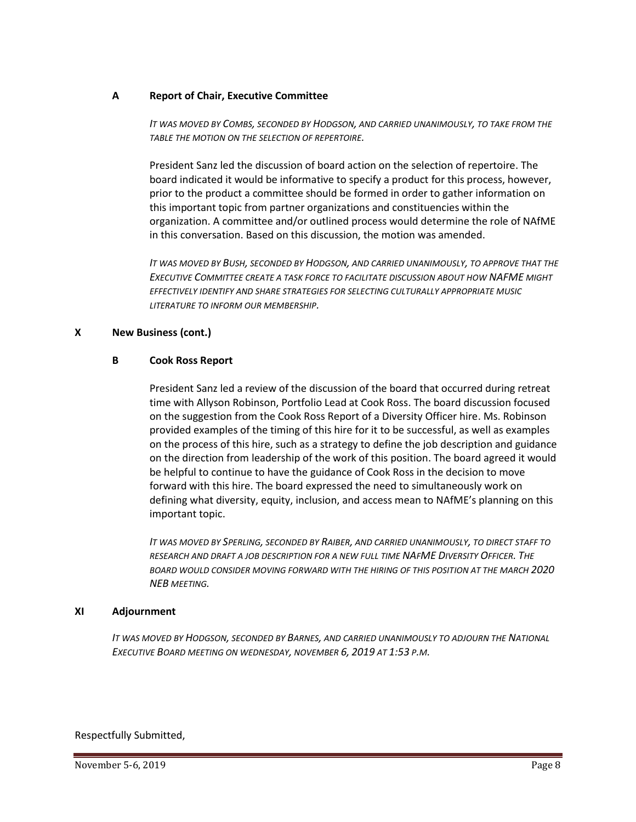#### **A Report of Chair, Executive Committee**

*IT WAS MOVED BY COMBS, SECONDED BY HODGSON, AND CARRIED UNANIMOUSLY, TO TAKE FROM THE TABLE THE MOTION ON THE SELECTION OF REPERTOIRE.*

President Sanz led the discussion of board action on the selection of repertoire. The board indicated it would be informative to specify a product for this process, however, prior to the product a committee should be formed in order to gather information on this important topic from partner organizations and constituencies within the organization. A committee and/or outlined process would determine the role of NAfME in this conversation. Based on this discussion, the motion was amended.

*IT WAS MOVED BY BUSH, SECONDED BY HODGSON, AND CARRIED UNANIMOUSLY, TO APPROVE THAT THE EXECUTIVE COMMITTEE CREATE A TASK FORCE TO FACILITATE DISCUSSION ABOUT HOW NAFME MIGHT EFFECTIVELY IDENTIFY AND SHARE STRATEGIES FOR SELECTING CULTURALLY APPROPRIATE MUSIC LITERATURE TO INFORM OUR MEMBERSHIP.*

## **X New Business (cont.)**

### **B Cook Ross Report**

President Sanz led a review of the discussion of the board that occurred during retreat time with Allyson Robinson, Portfolio Lead at Cook Ross. The board discussion focused on the suggestion from the Cook Ross Report of a Diversity Officer hire. Ms. Robinson provided examples of the timing of this hire for it to be successful, as well as examples on the process of this hire, such as a strategy to define the job description and guidance on the direction from leadership of the work of this position. The board agreed it would be helpful to continue to have the guidance of Cook Ross in the decision to move forward with this hire. The board expressed the need to simultaneously work on defining what diversity, equity, inclusion, and access mean to NAfME's planning on this important topic.

*IT WAS MOVED BY SPERLING, SECONDED BY RAIBER, AND CARRIED UNANIMOUSLY, TO DIRECT STAFF TO RESEARCH AND DRAFT A JOB DESCRIPTION FOR A NEW FULL TIME NAFME DIVERSITY OFFICER. THE BOARD WOULD CONSIDER MOVING FORWARD WITH THE HIRING OF THIS POSITION AT THE MARCH 2020 NEB MEETING.*

#### **XI Adjournment**

*IT WAS MOVED BY HODGSON, SECONDED BY BARNES, AND CARRIED UNANIMOUSLY TO ADJOURN THE NATIONAL EXECUTIVE BOARD MEETING ON WEDNESDAY, NOVEMBER 6, 2019 AT 1:53 P.M.*

#### Respectfully Submitted,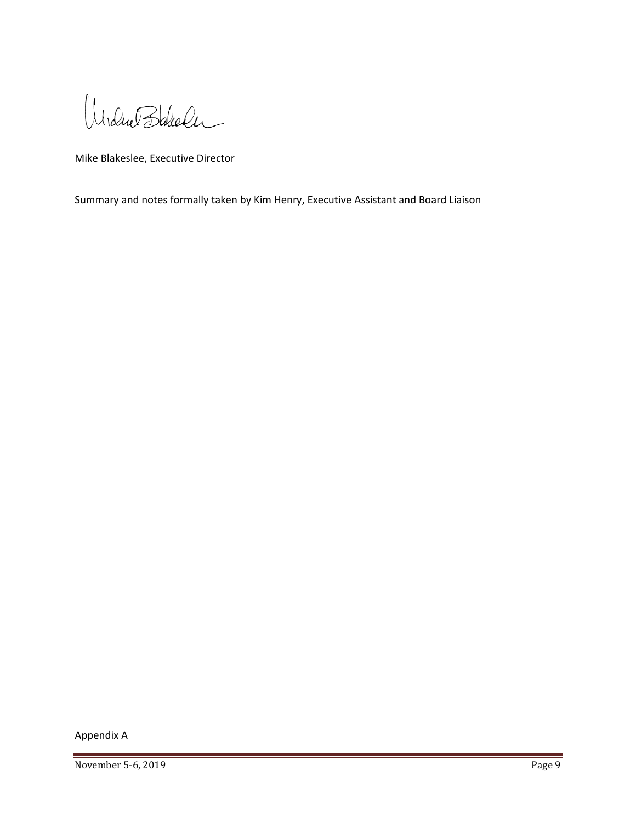Undue Bakeler

Mike Blakeslee, Executive Director

Summary and notes formally taken by Kim Henry, Executive Assistant and Board Liaison

Appendix A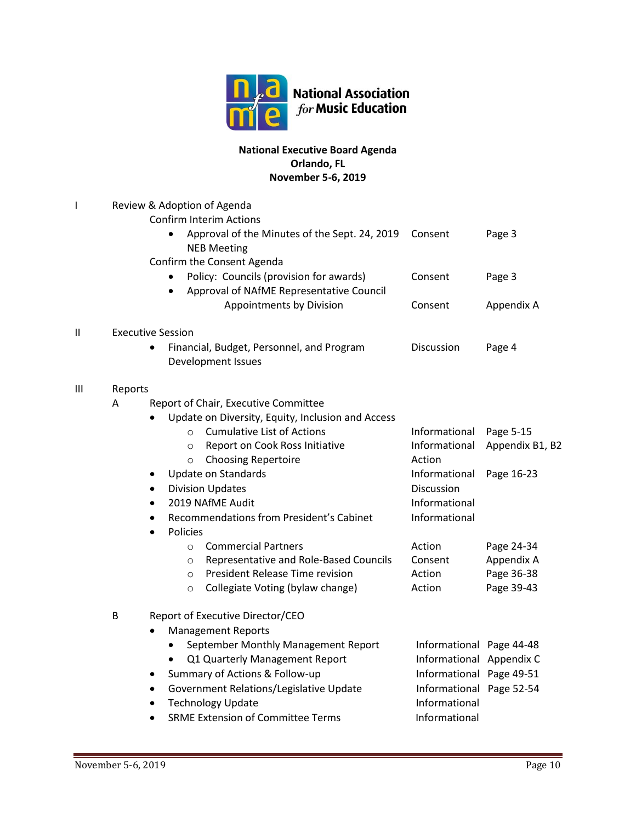

# **National Executive Board Agenda Orlando, FL November 5-6, 2019**

| ı |         | Review & Adoption of Agenda                                                                                                                                                                                                                                                                                                                                                                                                                                                                                                                                                                           |                                                                                                                                                    |                                                                                                    |  |  |
|---|---------|-------------------------------------------------------------------------------------------------------------------------------------------------------------------------------------------------------------------------------------------------------------------------------------------------------------------------------------------------------------------------------------------------------------------------------------------------------------------------------------------------------------------------------------------------------------------------------------------------------|----------------------------------------------------------------------------------------------------------------------------------------------------|----------------------------------------------------------------------------------------------------|--|--|
|   |         | <b>Confirm Interim Actions</b><br>Approval of the Minutes of the Sept. 24, 2019<br>$\bullet$<br><b>NEB Meeting</b>                                                                                                                                                                                                                                                                                                                                                                                                                                                                                    | Consent                                                                                                                                            | Page 3                                                                                             |  |  |
|   |         | Confirm the Consent Agenda<br>Policy: Councils (provision for awards)<br>Approval of NAfME Representative Council                                                                                                                                                                                                                                                                                                                                                                                                                                                                                     | Consent                                                                                                                                            | Page 3                                                                                             |  |  |
|   |         | Appointments by Division                                                                                                                                                                                                                                                                                                                                                                                                                                                                                                                                                                              | Consent                                                                                                                                            | Appendix A                                                                                         |  |  |
| П |         | <b>Executive Session</b>                                                                                                                                                                                                                                                                                                                                                                                                                                                                                                                                                                              |                                                                                                                                                    |                                                                                                    |  |  |
|   |         | Financial, Budget, Personnel, and Program<br>Development Issues                                                                                                                                                                                                                                                                                                                                                                                                                                                                                                                                       | Discussion                                                                                                                                         | Page 4                                                                                             |  |  |
| Ш | Reports |                                                                                                                                                                                                                                                                                                                                                                                                                                                                                                                                                                                                       |                                                                                                                                                    |                                                                                                    |  |  |
|   | A       | Report of Chair, Executive Committee<br>Update on Diversity, Equity, Inclusion and Access<br><b>Cumulative List of Actions</b><br>$\circ$<br>Report on Cook Ross Initiative<br>$\circ$<br><b>Choosing Repertoire</b><br>$\circ$<br><b>Update on Standards</b><br>٠<br><b>Division Updates</b><br>$\bullet$<br>2019 NAfME Audit<br>$\bullet$<br>Recommendations from President's Cabinet<br><b>Policies</b><br><b>Commercial Partners</b><br>$\circ$<br>Representative and Role-Based Councils<br>$\circ$<br>President Release Time revision<br>$\circ$<br>Collegiate Voting (bylaw change)<br>$\circ$ | Informational<br>Informational<br>Action<br>Informational<br>Discussion<br>Informational<br>Informational<br>Action<br>Consent<br>Action<br>Action | Page 5-15<br>Appendix B1, B2<br>Page 16-23<br>Page 24-34<br>Appendix A<br>Page 36-38<br>Page 39-43 |  |  |
|   | B       | Report of Executive Director/CEO<br><b>Management Reports</b><br>September Monthly Management Report<br>$\bullet$<br>Q1 Quarterly Management Report<br>Summary of Actions & Follow-up<br>٠<br>Government Relations/Legislative Update<br>$\bullet$<br><b>Technology Update</b><br><b>SRME Extension of Committee Terms</b>                                                                                                                                                                                                                                                                            | Informational Page 44-48<br>Informational Appendix C<br>Informational Page 49-51<br>Informational Page 52-54<br>Informational<br>Informational     |                                                                                                    |  |  |